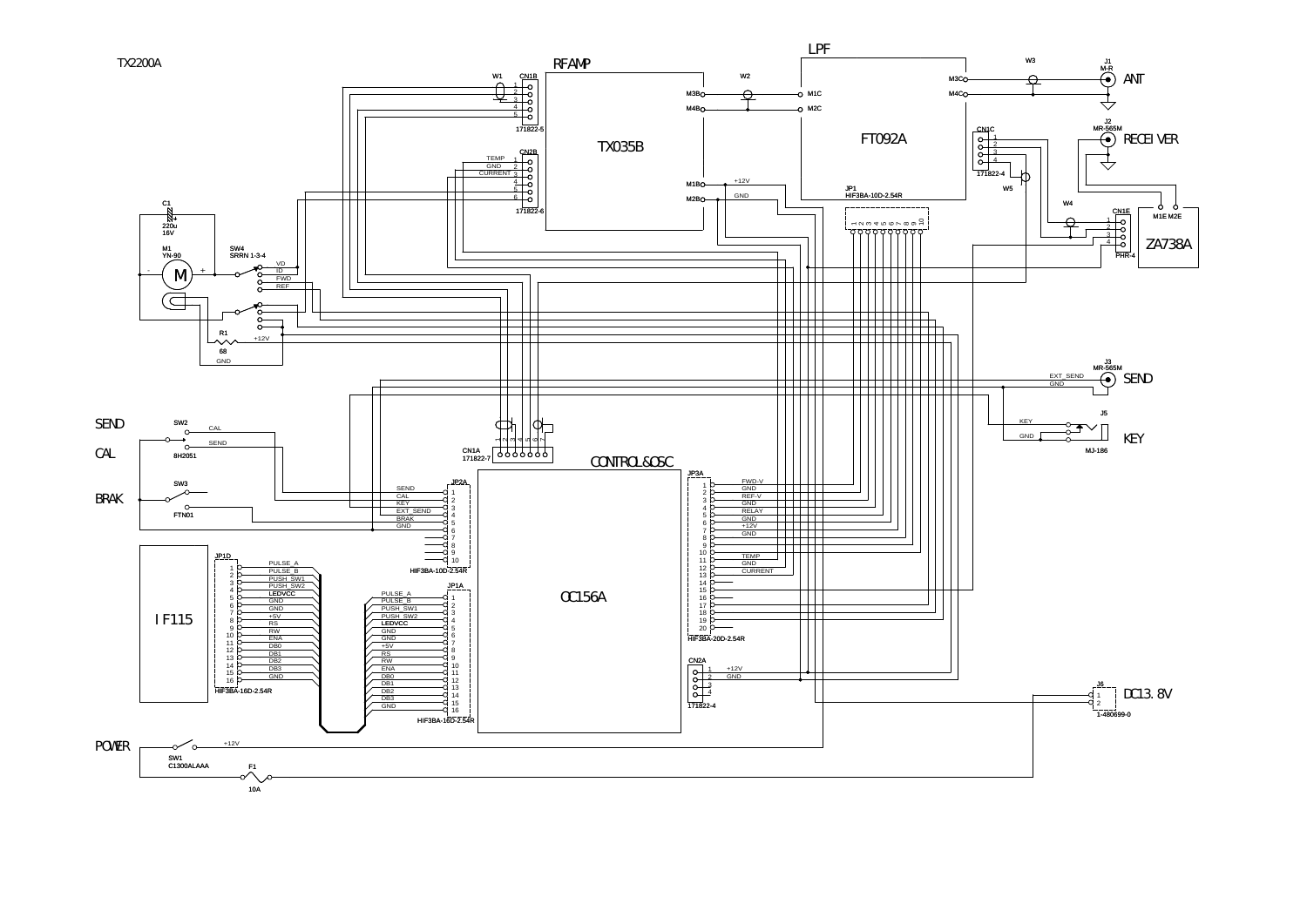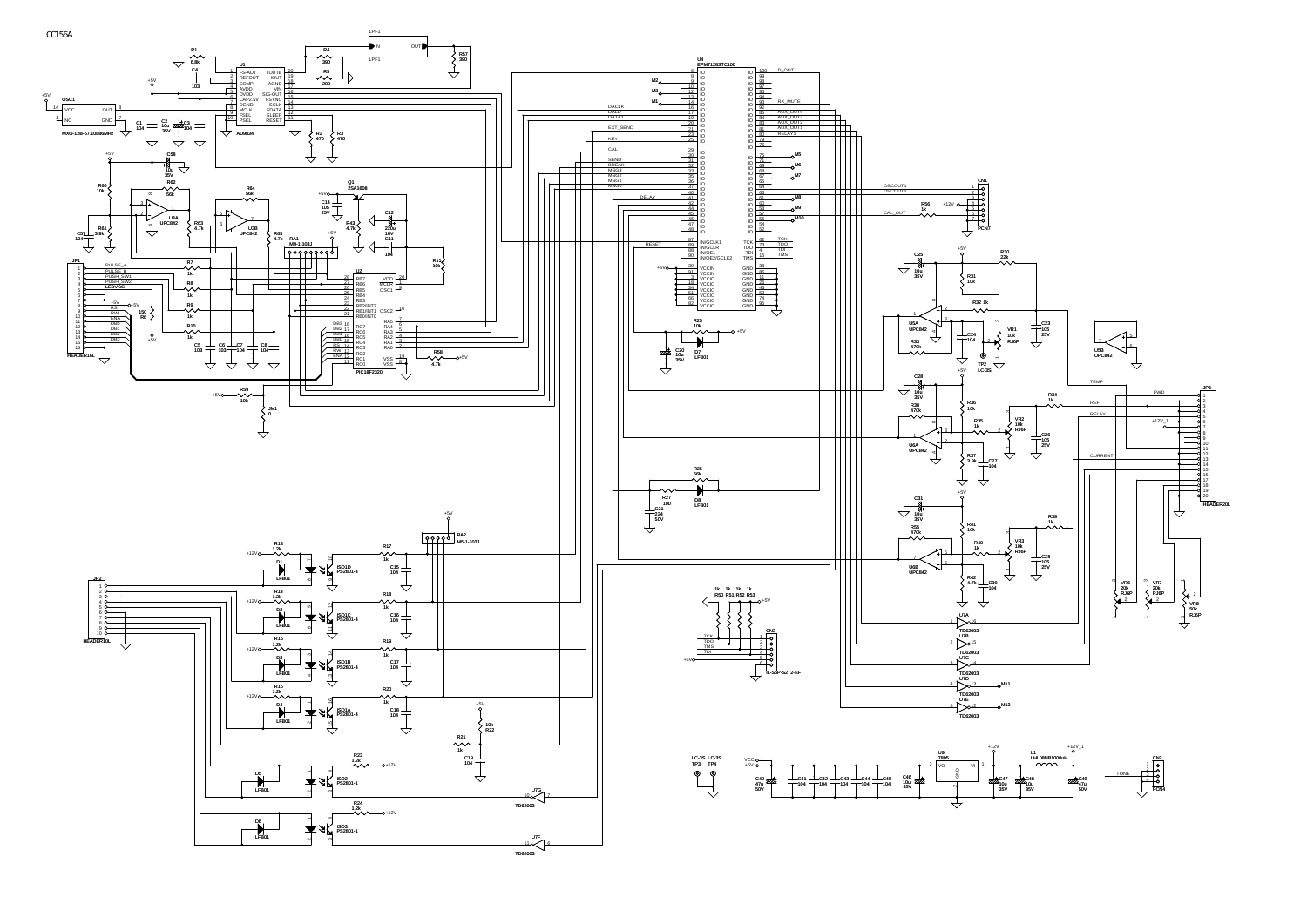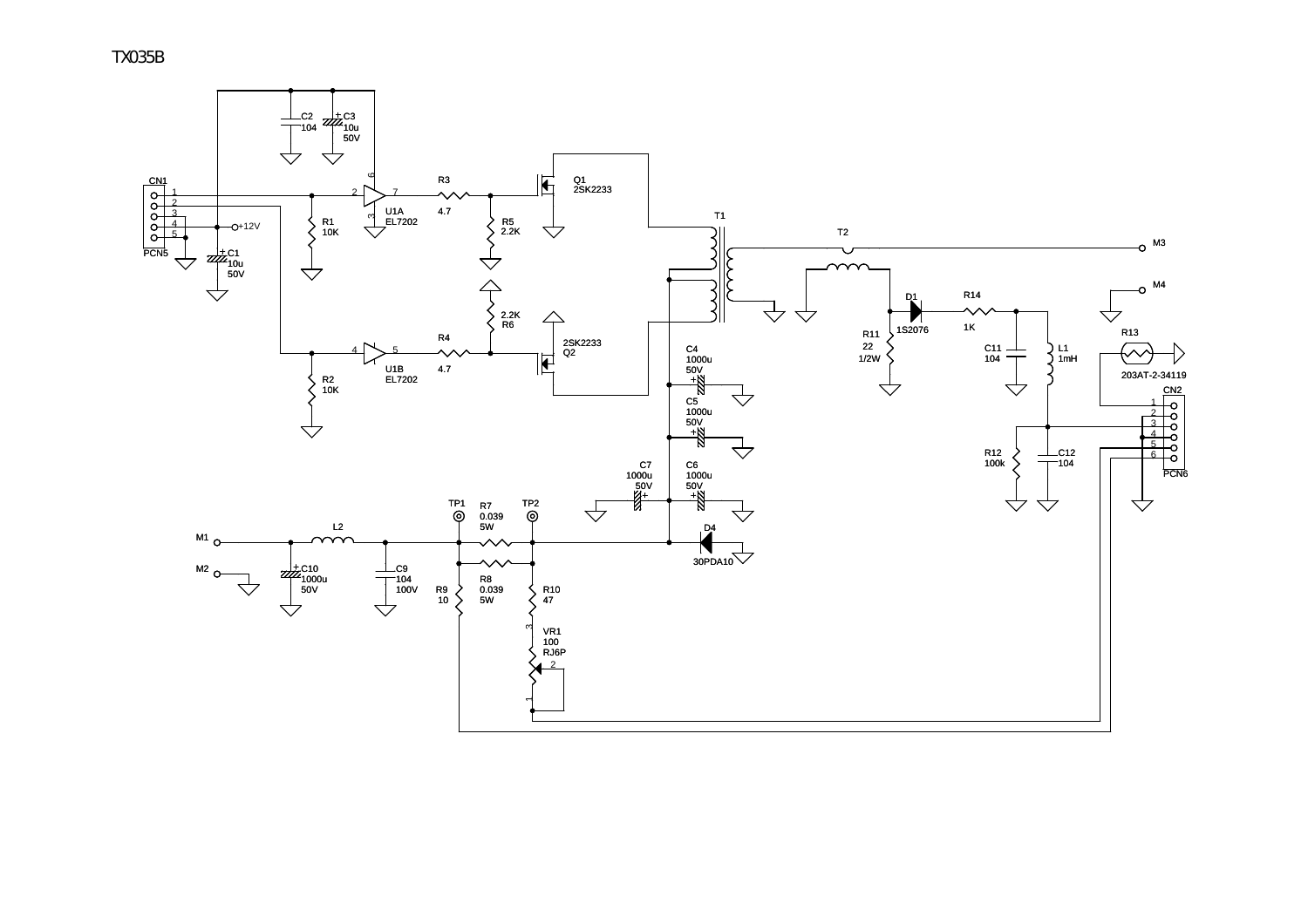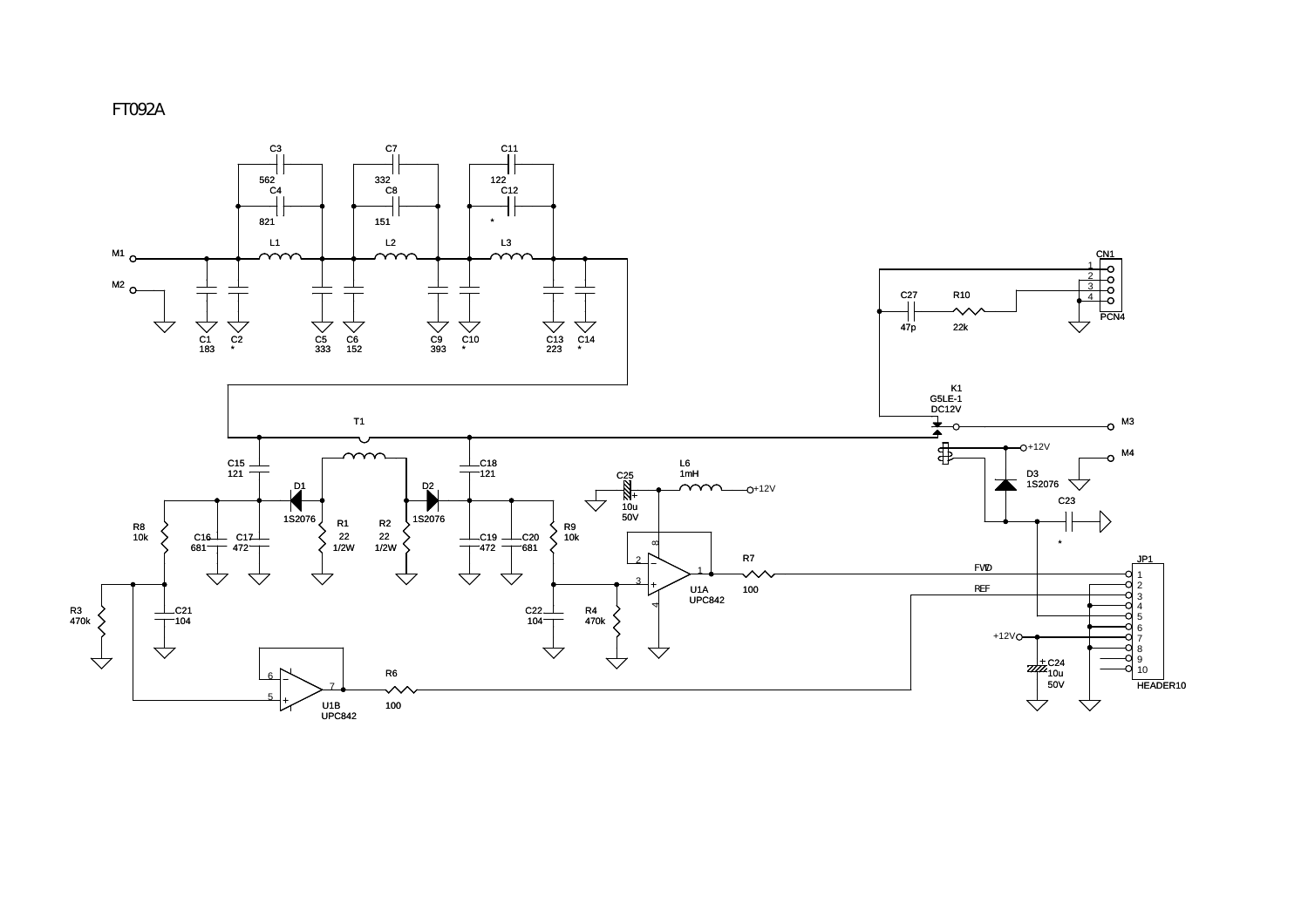

FT092A